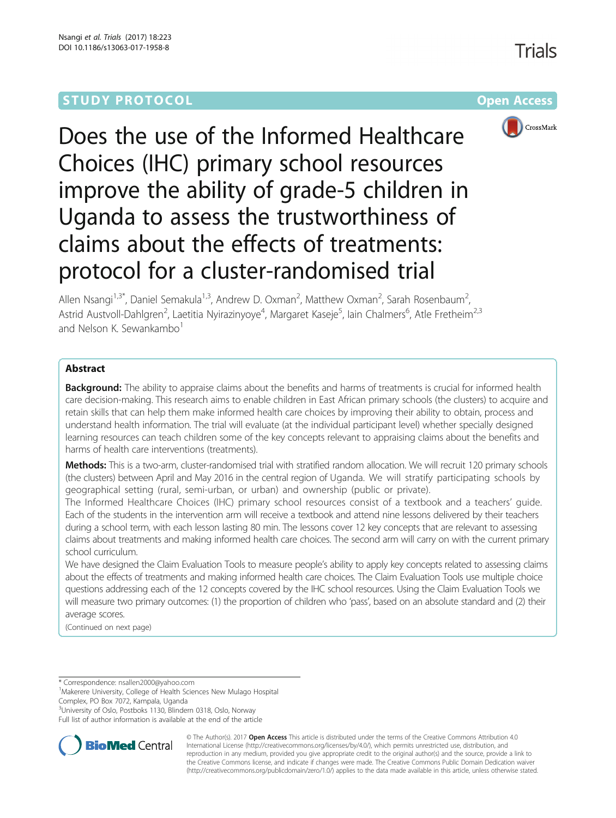# **STUDY PROTOCOL CONSUMING THE RESERVE ACCESS**



Does the use of the Informed Healthcare Choices (IHC) primary school resources improve the ability of grade-5 children in Uganda to assess the trustworthiness of claims about the effects of treatments: protocol for a cluster-randomised trial

Allen Nsangi<sup>1,3\*</sup>, Daniel Semakula<sup>1,3</sup>, Andrew D. Oxman<sup>2</sup>, Matthew Oxman<sup>2</sup>, Sarah Rosenbaum<sup>2</sup> .<br>, Astrid Austvoll-Dahlgren<sup>2</sup>, Laetitia Nyirazinyoye<sup>4</sup>, Margaret Kaseje<sup>5</sup>, Iain Chalmers<sup>6</sup>, Atle Fretheim<sup>2,3</sup> and Nelson K. Sewankambo<sup>1</sup>

# Abstract

**Background:** The ability to appraise claims about the benefits and harms of treatments is crucial for informed health care decision-making. This research aims to enable children in East African primary schools (the clusters) to acquire and retain skills that can help them make informed health care choices by improving their ability to obtain, process and understand health information. The trial will evaluate (at the individual participant level) whether specially designed learning resources can teach children some of the key concepts relevant to appraising claims about the benefits and harms of health care interventions (treatments).

Methods: This is a two-arm, cluster-randomised trial with stratified random allocation. We will recruit 120 primary schools (the clusters) between April and May 2016 in the central region of Uganda. We will stratify participating schools by geographical setting (rural, semi-urban, or urban) and ownership (public or private).

The Informed Healthcare Choices (IHC) primary school resources consist of a textbook and a teachers' guide. Each of the students in the intervention arm will receive a textbook and attend nine lessons delivered by their teachers during a school term, with each lesson lasting 80 min. The lessons cover 12 key concepts that are relevant to assessing claims about treatments and making informed health care choices. The second arm will carry on with the current primary school curriculum.

We have designed the Claim Evaluation Tools to measure people's ability to apply key concepts related to assessing claims about the effects of treatments and making informed health care choices. The Claim Evaluation Tools use multiple choice questions addressing each of the 12 concepts covered by the IHC school resources. Using the Claim Evaluation Tools we will measure two primary outcomes: (1) the proportion of children who 'pass', based on an absolute standard and (2) their average scores.

(Continued on next page)

\* Correspondence: [nsallen2000@yahoo.com](mailto:nsallen2000@yahoo.com) <sup>1</sup>

<sup>1</sup>Makerere University, College of Health Sciences New Mulago Hospital Complex, PO Box 7072, Kampala, Uganda

<sup>3</sup>University of Oslo, Postboks 1130, Blindern 0318, Oslo, Norway

Full list of author information is available at the end of the article



© The Author(s). 2017 **Open Access** This article is distributed under the terms of the Creative Commons Attribution 4.0 International License [\(http://creativecommons.org/licenses/by/4.0/](http://creativecommons.org/licenses/by/4.0/)), which permits unrestricted use, distribution, and reproduction in any medium, provided you give appropriate credit to the original author(s) and the source, provide a link to the Creative Commons license, and indicate if changes were made. The Creative Commons Public Domain Dedication waiver [\(http://creativecommons.org/publicdomain/zero/1.0/](http://creativecommons.org/publicdomain/zero/1.0/)) applies to the data made available in this article, unless otherwise stated.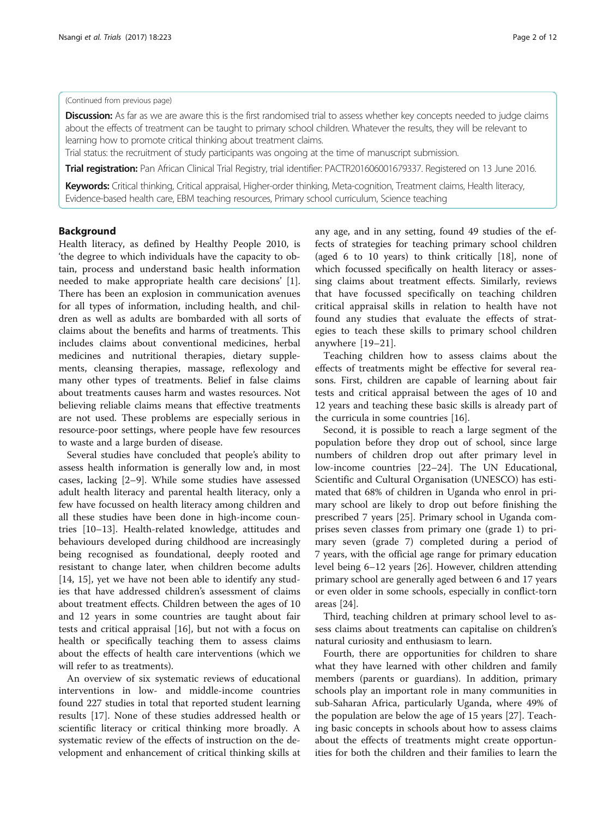### (Continued from previous page)

**Discussion:** As far as we are aware this is the first randomised trial to assess whether key concepts needed to judge claims about the effects of treatment can be taught to primary school children. Whatever the results, they will be relevant to learning how to promote critical thinking about treatment claims.

Trial status: the recruitment of study participants was ongoing at the time of manuscript submission.

Trial registration: Pan African Clinical Trial Registry, trial identifier: [PACTR201606001679337](http://www.pactr.org/ATMWeb/appmanager/atm/atmregistry?_nfpb=true&_pageLabel=atm_portal_page_mytrials). Registered on 13 June 2016.

Keywords: Critical thinking, Critical appraisal, Higher-order thinking, Meta-cognition, Treatment claims, Health literacy, Evidence-based health care, EBM teaching resources, Primary school curriculum, Science teaching

## Background

Health literacy, as defined by Healthy People 2010, is 'the degree to which individuals have the capacity to obtain, process and understand basic health information needed to make appropriate health care decisions' [\[1](#page-11-0)]. There has been an explosion in communication avenues for all types of information, including health, and children as well as adults are bombarded with all sorts of claims about the benefits and harms of treatments. This includes claims about conventional medicines, herbal medicines and nutritional therapies, dietary supplements, cleansing therapies, massage, reflexology and many other types of treatments. Belief in false claims about treatments causes harm and wastes resources. Not believing reliable claims means that effective treatments are not used. These problems are especially serious in resource-poor settings, where people have few resources to waste and a large burden of disease.

Several studies have concluded that people's ability to assess health information is generally low and, in most cases, lacking [[2](#page-11-0)–[9\]](#page-11-0). While some studies have assessed adult health literacy and parental health literacy, only a few have focussed on health literacy among children and all these studies have been done in high-income countries [[10](#page-11-0)–[13\]](#page-11-0). Health-related knowledge, attitudes and behaviours developed during childhood are increasingly being recognised as foundational, deeply rooted and resistant to change later, when children become adults [[14, 15](#page-11-0)], yet we have not been able to identify any studies that have addressed children's assessment of claims about treatment effects. Children between the ages of 10 and 12 years in some countries are taught about fair tests and critical appraisal [[16\]](#page-11-0), but not with a focus on health or specifically teaching them to assess claims about the effects of health care interventions (which we will refer to as treatments).

An overview of six systematic reviews of educational interventions in low- and middle-income countries found 227 studies in total that reported student learning results [\[17\]](#page-11-0). None of these studies addressed health or scientific literacy or critical thinking more broadly. A systematic review of the effects of instruction on the development and enhancement of critical thinking skills at any age, and in any setting, found 49 studies of the effects of strategies for teaching primary school children (aged 6 to 10 years) to think critically [\[18](#page-11-0)], none of which focussed specifically on health literacy or assessing claims about treatment effects. Similarly, reviews that have focussed specifically on teaching children critical appraisal skills in relation to health have not found any studies that evaluate the effects of strategies to teach these skills to primary school children anywhere [\[19](#page-11-0)–[21\]](#page-11-0).

Teaching children how to assess claims about the effects of treatments might be effective for several reasons. First, children are capable of learning about fair tests and critical appraisal between the ages of 10 and 12 years and teaching these basic skills is already part of the curricula in some countries [\[16](#page-11-0)].

Second, it is possible to reach a large segment of the population before they drop out of school, since large numbers of children drop out after primary level in low-income countries [\[22](#page-11-0)–[24\]](#page-11-0). The UN Educational, Scientific and Cultural Organisation (UNESCO) has estimated that 68% of children in Uganda who enrol in primary school are likely to drop out before finishing the prescribed 7 years [[25](#page-11-0)]. Primary school in Uganda comprises seven classes from primary one (grade 1) to primary seven (grade 7) completed during a period of 7 years, with the official age range for primary education level being 6–12 years [\[26](#page-11-0)]. However, children attending primary school are generally aged between 6 and 17 years or even older in some schools, especially in conflict-torn areas [[24](#page-11-0)].

Third, teaching children at primary school level to assess claims about treatments can capitalise on children's natural curiosity and enthusiasm to learn.

Fourth, there are opportunities for children to share what they have learned with other children and family members (parents or guardians). In addition, primary schools play an important role in many communities in sub-Saharan Africa, particularly Uganda, where 49% of the population are below the age of 15 years [[27\]](#page-11-0). Teaching basic concepts in schools about how to assess claims about the effects of treatments might create opportunities for both the children and their families to learn the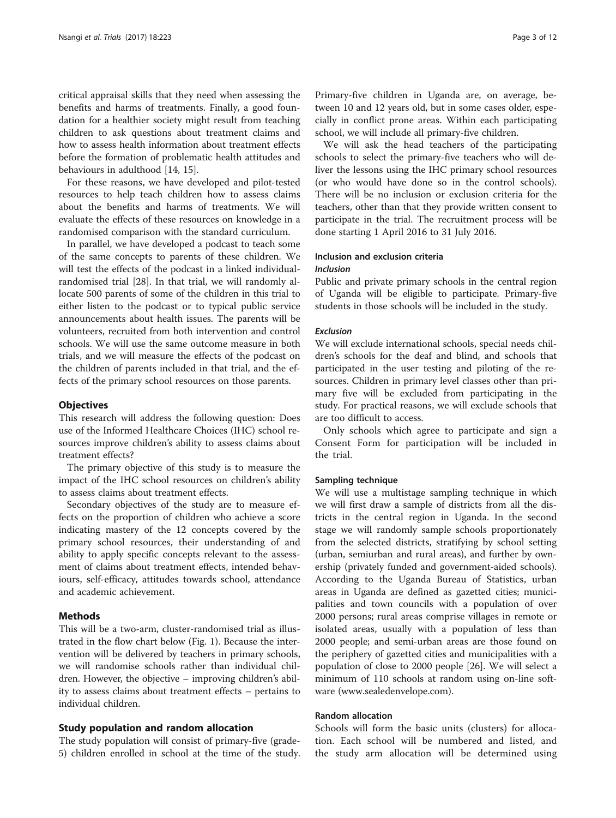critical appraisal skills that they need when assessing the benefits and harms of treatments. Finally, a good foundation for a healthier society might result from teaching children to ask questions about treatment claims and how to assess health information about treatment effects before the formation of problematic health attitudes and behaviours in adulthood [\[14, 15\]](#page-11-0).

For these reasons, we have developed and pilot-tested resources to help teach children how to assess claims about the benefits and harms of treatments. We will evaluate the effects of these resources on knowledge in a randomised comparison with the standard curriculum.

In parallel, we have developed a podcast to teach some of the same concepts to parents of these children. We will test the effects of the podcast in a linked individualrandomised trial [\[28](#page-11-0)]. In that trial, we will randomly allocate 500 parents of some of the children in this trial to either listen to the podcast or to typical public service announcements about health issues. The parents will be volunteers, recruited from both intervention and control schools. We will use the same outcome measure in both trials, and we will measure the effects of the podcast on the children of parents included in that trial, and the effects of the primary school resources on those parents.

### **Objectives**

This research will address the following question: Does use of the Informed Healthcare Choices (IHC) school resources improve children's ability to assess claims about treatment effects?

The primary objective of this study is to measure the impact of the IHC school resources on children's ability to assess claims about treatment effects.

Secondary objectives of the study are to measure effects on the proportion of children who achieve a score indicating mastery of the 12 concepts covered by the primary school resources, their understanding of and ability to apply specific concepts relevant to the assessment of claims about treatment effects, intended behaviours, self-efficacy, attitudes towards school, attendance and academic achievement.

### Methods

This will be a two-arm, cluster-randomised trial as illustrated in the flow chart below (Fig. [1\)](#page-3-0). Because the intervention will be delivered by teachers in primary schools, we will randomise schools rather than individual children. However, the objective – improving children's ability to assess claims about treatment effects – pertains to individual children.

### Study population and random allocation

The study population will consist of primary-five (grade-5) children enrolled in school at the time of the study. Primary-five children in Uganda are, on average, between 10 and 12 years old, but in some cases older, especially in conflict prone areas. Within each participating school, we will include all primary-five children.

We will ask the head teachers of the participating schools to select the primary-five teachers who will deliver the lessons using the IHC primary school resources (or who would have done so in the control schools). There will be no inclusion or exclusion criteria for the teachers, other than that they provide written consent to participate in the trial. The recruitment process will be done starting 1 April 2016 to 31 July 2016.

### Inclusion and exclusion criteria Inclusion

Public and private primary schools in the central region of Uganda will be eligible to participate. Primary-five students in those schools will be included in the study.

#### Exclusion

We will exclude international schools, special needs children's schools for the deaf and blind, and schools that participated in the user testing and piloting of the resources. Children in primary level classes other than primary five will be excluded from participating in the study. For practical reasons, we will exclude schools that are too difficult to access.

Only schools which agree to participate and sign a Consent Form for participation will be included in the trial.

### Sampling technique

We will use a multistage sampling technique in which we will first draw a sample of districts from all the districts in the central region in Uganda. In the second stage we will randomly sample schools proportionately from the selected districts, stratifying by school setting (urban, semiurban and rural areas), and further by ownership (privately funded and government-aided schools). According to the Uganda Bureau of Statistics, urban areas in Uganda are defined as gazetted cities; municipalities and town councils with a population of over 2000 persons; rural areas comprise villages in remote or isolated areas, usually with a population of less than 2000 people; and semi-urban areas are those found on the periphery of gazetted cities and municipalities with a population of close to 2000 people [\[26](#page-11-0)]. We will select a minimum of 110 schools at random using on-line software [\(www.sealedenvelope.com](http://www.sealedenvelope.com/)).

### Random allocation

Schools will form the basic units (clusters) for allocation. Each school will be numbered and listed, and the study arm allocation will be determined using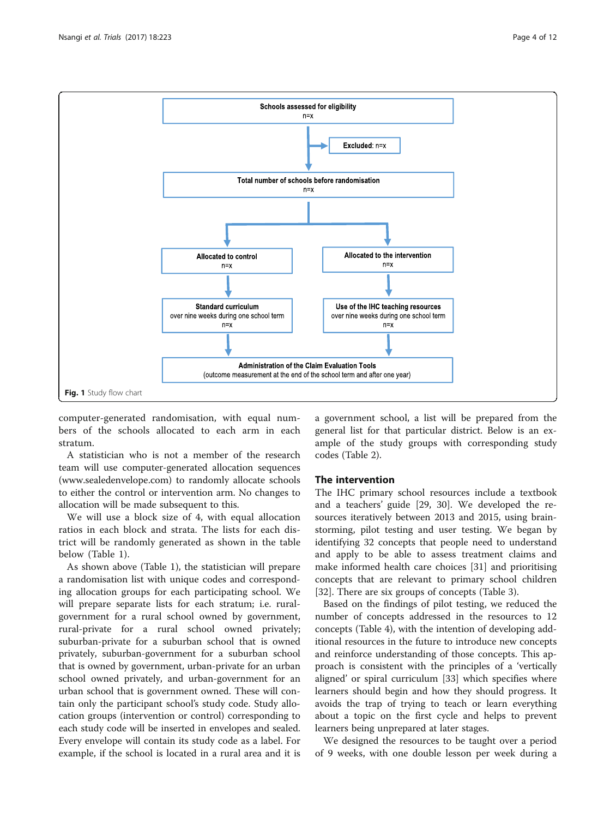<span id="page-3-0"></span>

computer-generated randomisation, with equal numbers of the schools allocated to each arm in each stratum.

A statistician who is not a member of the research team will use computer-generated allocation sequences ([www.sealedenvelope.com](http://www.sealedenvelope.com/)) to randomly allocate schools to either the control or intervention arm. No changes to allocation will be made subsequent to this.

We will use a block size of 4, with equal allocation ratios in each block and strata. The lists for each district will be randomly generated as shown in the table below (Table [1\)](#page-4-0).

As shown above (Table [1\)](#page-4-0), the statistician will prepare a randomisation list with unique codes and corresponding allocation groups for each participating school. We will prepare separate lists for each stratum; i.e. ruralgovernment for a rural school owned by government, rural-private for a rural school owned privately; suburban-private for a suburban school that is owned privately, suburban-government for a suburban school that is owned by government, urban-private for an urban school owned privately, and urban-government for an urban school that is government owned. These will contain only the participant school's study code. Study allocation groups (intervention or control) corresponding to each study code will be inserted in envelopes and sealed. Every envelope will contain its study code as a label. For example, if the school is located in a rural area and it is

a government school, a list will be prepared from the general list for that particular district. Below is an example of the study groups with corresponding study codes (Table [2\)](#page-4-0).

# The intervention

The IHC primary school resources include a textbook and a teachers' guide [\[29](#page-11-0), [30](#page-11-0)]. We developed the resources iteratively between 2013 and 2015, using brainstorming, pilot testing and user testing. We began by identifying 32 concepts that people need to understand and apply to be able to assess treatment claims and make informed health care choices [\[31\]](#page-11-0) and prioritising concepts that are relevant to primary school children [[32\]](#page-11-0). There are six groups of concepts (Table [3\)](#page-4-0).

Based on the findings of pilot testing, we reduced the number of concepts addressed in the resources to 12 concepts (Table [4\)](#page-5-0), with the intention of developing additional resources in the future to introduce new concepts and reinforce understanding of those concepts. This approach is consistent with the principles of a 'vertically aligned' or spiral curriculum [[33\]](#page-11-0) which specifies where learners should begin and how they should progress. It avoids the trap of trying to teach or learn everything about a topic on the first cycle and helps to prevent learners being unprepared at later stages.

We designed the resources to be taught over a period of 9 weeks, with one double lesson per week during a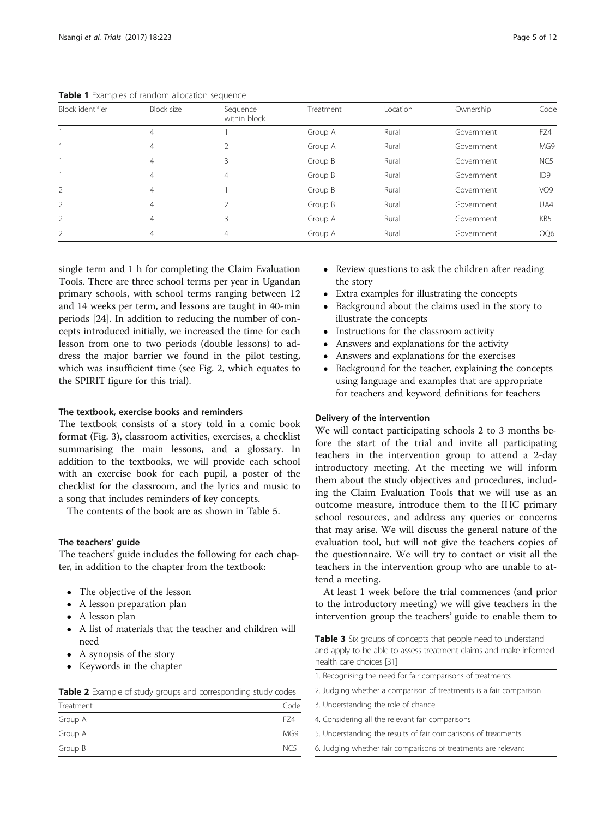| <b>Block identifier</b> | Block size     | Sequence<br>within block | Treatment | Location | Ownership  | Code            |
|-------------------------|----------------|--------------------------|-----------|----------|------------|-----------------|
|                         | $\overline{4}$ |                          | Group A   | Rural    | Government | FZ4             |
|                         | $\overline{4}$ |                          | Group A   | Rural    | Government | MG9             |
|                         | $\overline{4}$ | 3                        | Group B   | Rural    | Government | NC5             |
|                         | $\overline{4}$ | $\overline{4}$           | Group B   | Rural    | Government | ID <sub>9</sub> |
| 2                       | 4              |                          | Group B   | Rural    | Government | VO <sub>9</sub> |
| 2                       | 4              | $\mathfrak{D}$           | Group B   | Rural    | Government | UA4             |
| 2                       | $\overline{4}$ | 3                        | Group A   | Rural    | Government | KB5             |
| 2                       | $\overline{4}$ | $\overline{4}$           | Group A   | Rural    | Government | OQ6             |

<span id="page-4-0"></span>Table 1 Examples of random allocation sequence

single term and 1 h for completing the Claim Evaluation Tools. There are three school terms per year in Ugandan primary schools, with school terms ranging between 12 and 14 weeks per term, and lessons are taught in 40-min periods [[24\]](#page-11-0). In addition to reducing the number of concepts introduced initially, we increased the time for each lesson from one to two periods (double lessons) to address the major barrier we found in the pilot testing, which was insufficient time (see Fig. [2](#page-6-0), which equates to the SPIRIT figure for this trial).

# The textbook, exercise books and reminders

The textbook consists of a story told in a comic book format (Fig. [3\)](#page-7-0), classroom activities, exercises, a checklist summarising the main lessons, and a glossary. In addition to the textbooks, we will provide each school with an exercise book for each pupil, a poster of the checklist for the classroom, and the lyrics and music to a song that includes reminders of key concepts.

The contents of the book are as shown in Table [5.](#page-7-0)

# The teachers' guide

The teachers' guide includes the following for each chapter, in addition to the chapter from the textbook:

- The objective of the lesson
- A lesson preparation plan
- A lesson plan
- A list of materials that the teacher and children will need
- A synopsis of the story
- Keywords in the chapter

| Table 2 Example of study groups and corresponding study codes |  |  |  |  |
|---------------------------------------------------------------|--|--|--|--|
|                                                               |  |  |  |  |

| $\blacksquare$ $\blacksquare$ $\blacksquare$ $\blacksquare$ $\blacksquare$ $\blacksquare$ $\blacksquare$ $\blacksquare$ $\blacksquare$ $\blacksquare$ $\blacksquare$ $\blacksquare$ $\blacksquare$ $\blacksquare$ $\blacksquare$ $\blacksquare$ $\blacksquare$ $\blacksquare$ $\blacksquare$ $\blacksquare$ $\blacksquare$ $\blacksquare$ $\blacksquare$ $\blacksquare$ $\blacksquare$ $\blacksquare$ $\blacksquare$ $\blacksquare$ $\blacksquare$ $\blacksquare$ $\blacksquare$ $\blacks$ |                 |
|--------------------------------------------------------------------------------------------------------------------------------------------------------------------------------------------------------------------------------------------------------------------------------------------------------------------------------------------------------------------------------------------------------------------------------------------------------------------------------------------|-----------------|
| Treatment                                                                                                                                                                                                                                                                                                                                                                                                                                                                                  | Code            |
| Group A                                                                                                                                                                                                                                                                                                                                                                                                                                                                                    | F74             |
| Group A                                                                                                                                                                                                                                                                                                                                                                                                                                                                                    | MG9             |
| Group B                                                                                                                                                                                                                                                                                                                                                                                                                                                                                    | N <sub>C5</sub> |

- Review questions to ask the children after reading the story
- 
- Extra examples for illustrating the concepts<br>• Background about the claims used in the ste Background about the claims used in the story to illustrate the concepts
- Instructions for the classroom activity<br>• Answers and explanations for the activ
- Answers and explanations for the activity<br>• Answers and explanations for the exercise
- Answers and explanations for the exercises<br>• Background for the teacher, explaining the
- Background for the teacher, explaining the concepts using language and examples that are appropriate for teachers and keyword definitions for teachers

# Delivery of the intervention

We will contact participating schools 2 to 3 months before the start of the trial and invite all participating teachers in the intervention group to attend a 2-day introductory meeting. At the meeting we will inform them about the study objectives and procedures, including the Claim Evaluation Tools that we will use as an outcome measure, introduce them to the IHC primary school resources, and address any queries or concerns that may arise. We will discuss the general nature of the evaluation tool, but will not give the teachers copies of the questionnaire. We will try to contact or visit all the teachers in the intervention group who are unable to attend a meeting.

At least 1 week before the trial commences (and prior to the introductory meeting) we will give teachers in the intervention group the teachers' guide to enable them to

Table 3 Six groups of concepts that people need to understand and apply to be able to assess treatment claims and make informed health care choices [\[31](#page-11-0)]

- 1. Recognising the need for fair comparisons of treatments
- 2. Judging whether a comparison of treatments is a fair comparison
- 3. Understanding the role of chance
- 4. Considering all the relevant fair comparisons
- 5. Understanding the results of fair comparisons of treatments
- 6. Judging whether fair comparisons of treatments are relevant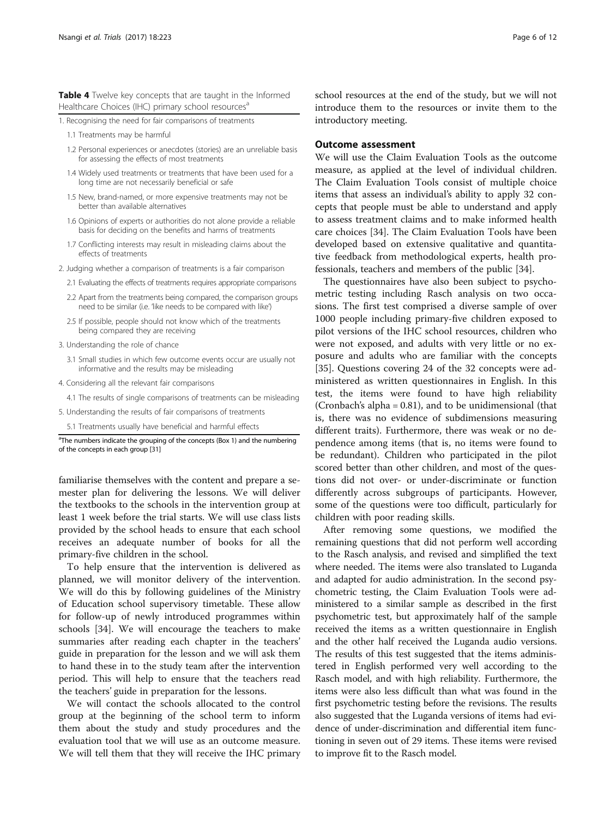<span id="page-5-0"></span>Table 4 Twelve key concepts that are taught in the Informed Healthcare Choices (IHC) primary school resources<sup>a</sup>

1. Recognising the need for fair comparisons of treatments

- 1.1 Treatments may be harmful
- 1.2 Personal experiences or anecdotes (stories) are an unreliable basis for assessing the effects of most treatments
- 1.4 Widely used treatments or treatments that have been used for a long time are not necessarily beneficial or safe
- 1.5 New, brand-named, or more expensive treatments may not be better than available alternatives
- 1.6 Opinions of experts or authorities do not alone provide a reliable basis for deciding on the benefits and harms of treatments
- 1.7 Conflicting interests may result in misleading claims about the effects of treatments
- 2. Judging whether a comparison of treatments is a fair comparison
	- 2.1 Evaluating the effects of treatments requires appropriate comparisons
	- 2.2 Apart from the treatments being compared, the comparison groups need to be similar (i.e. 'like needs to be compared with like')
	- 2.5 If possible, people should not know which of the treatments being compared they are receiving
- 3. Understanding the role of chance
	- 3.1 Small studies in which few outcome events occur are usually not informative and the results may be misleading
- 4. Considering all the relevant fair comparisons
	- 4.1 The results of single comparisons of treatments can be misleading
- 5. Understanding the results of fair comparisons of treatments
	- 5.1 Treatments usually have beneficial and harmful effects

<sup>a</sup>The numbers indicate the grouping of the concepts (Box 1) and the numbering of the concepts in each group [[31\]](#page-11-0)

familiarise themselves with the content and prepare a semester plan for delivering the lessons. We will deliver the textbooks to the schools in the intervention group at least 1 week before the trial starts. We will use class lists provided by the school heads to ensure that each school receives an adequate number of books for all the primary-five children in the school.

To help ensure that the intervention is delivered as planned, we will monitor delivery of the intervention. We will do this by following guidelines of the Ministry of Education school supervisory timetable. These allow for follow-up of newly introduced programmes within schools [[34\]](#page-11-0). We will encourage the teachers to make summaries after reading each chapter in the teachers' guide in preparation for the lesson and we will ask them to hand these in to the study team after the intervention period. This will help to ensure that the teachers read the teachers' guide in preparation for the lessons.

We will contact the schools allocated to the control group at the beginning of the school term to inform them about the study and study procedures and the evaluation tool that we will use as an outcome measure. We will tell them that they will receive the IHC primary

school resources at the end of the study, but we will not introduce them to the resources or invite them to the introductory meeting.

# Outcome assessment

We will use the Claim Evaluation Tools as the outcome measure, as applied at the level of individual children. The Claim Evaluation Tools consist of multiple choice items that assess an individual's ability to apply 32 concepts that people must be able to understand and apply to assess treatment claims and to make informed health care choices [[34\]](#page-11-0). The Claim Evaluation Tools have been developed based on extensive qualitative and quantitative feedback from methodological experts, health professionals, teachers and members of the public [[34\]](#page-11-0).

The questionnaires have also been subject to psychometric testing including Rasch analysis on two occasions. The first test comprised a diverse sample of over 1000 people including primary-five children exposed to pilot versions of the IHC school resources, children who were not exposed, and adults with very little or no exposure and adults who are familiar with the concepts [[35\]](#page-11-0). Questions covering 24 of the 32 concepts were administered as written questionnaires in English. In this test, the items were found to have high reliability (Cronbach's alpha = 0.81), and to be unidimensional (that is, there was no evidence of subdimensions measuring different traits). Furthermore, there was weak or no dependence among items (that is, no items were found to be redundant). Children who participated in the pilot scored better than other children, and most of the questions did not over- or under-discriminate or function differently across subgroups of participants. However, some of the questions were too difficult, particularly for children with poor reading skills.

After removing some questions, we modified the remaining questions that did not perform well according to the Rasch analysis, and revised and simplified the text where needed. The items were also translated to Luganda and adapted for audio administration. In the second psychometric testing, the Claim Evaluation Tools were administered to a similar sample as described in the first psychometric test, but approximately half of the sample received the items as a written questionnaire in English and the other half received the Luganda audio versions. The results of this test suggested that the items administered in English performed very well according to the Rasch model, and with high reliability. Furthermore, the items were also less difficult than what was found in the first psychometric testing before the revisions. The results also suggested that the Luganda versions of items had evidence of under-discrimination and differential item functioning in seven out of 29 items. These items were revised to improve fit to the Rasch model.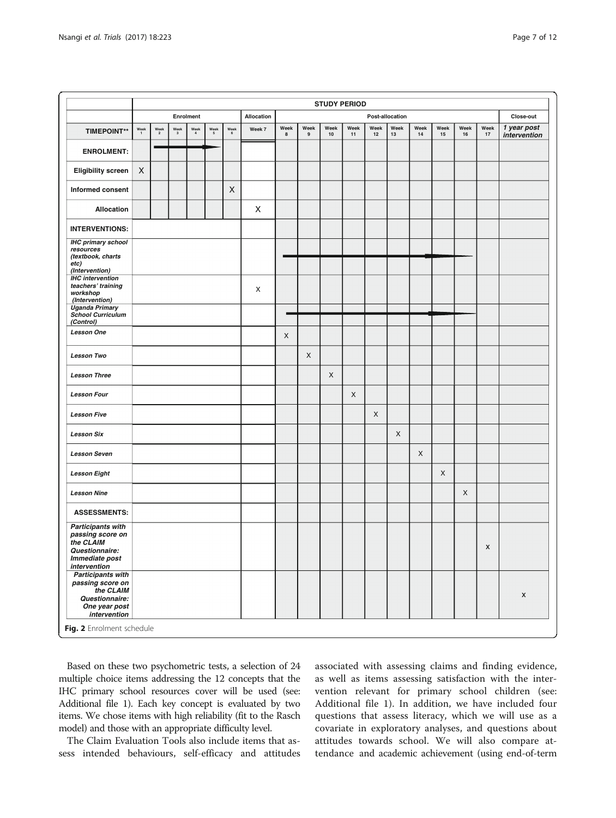<span id="page-6-0"></span>

|                                                                                                                                           | <b>STUDY PERIOD</b> |                        |                                 |                        |            |                 |        |           |           |            |            |            |            |            |            |            |            |                             |
|-------------------------------------------------------------------------------------------------------------------------------------------|---------------------|------------------------|---------------------------------|------------------------|------------|-----------------|--------|-----------|-----------|------------|------------|------------|------------|------------|------------|------------|------------|-----------------------------|
|                                                                                                                                           | Enrolment           |                        |                                 |                        | Allocation | Post-allocation |        |           |           |            |            |            |            |            | Close-out  |            |            |                             |
| <b>TIMEPOINT**</b>                                                                                                                        | Week                | Week<br>$\overline{2}$ | Week<br>$\overline{\mathbf{3}}$ | Week<br>$\overline{4}$ | Week<br>5  | Week<br>6       | Week 7 | Week<br>8 | Week<br>9 | Week<br>10 | Week<br>11 | Week<br>12 | Week<br>13 | Week<br>14 | Week<br>15 | Week<br>16 | Week<br>17 | 1 year post<br>intervention |
| <b>ENROLMENT:</b>                                                                                                                         |                     |                        |                                 |                        |            |                 |        |           |           |            |            |            |            |            |            |            |            |                             |
| <b>Eligibility screen</b>                                                                                                                 | X                   |                        |                                 |                        |            |                 |        |           |           |            |            |            |            |            |            |            |            |                             |
| <b>Informed consent</b>                                                                                                                   |                     |                        |                                 |                        |            | $\mathsf X$     |        |           |           |            |            |            |            |            |            |            |            |                             |
| Allocation                                                                                                                                |                     |                        |                                 |                        |            |                 | X      |           |           |            |            |            |            |            |            |            |            |                             |
| <b>INTERVENTIONS:</b>                                                                                                                     |                     |                        |                                 |                        |            |                 |        |           |           |            |            |            |            |            |            |            |            |                             |
| <b>IHC primary school</b><br>resources<br>(textbook, charts<br>etc)<br>(Intervention)                                                     |                     |                        |                                 |                        |            |                 |        |           |           |            |            |            |            |            |            |            |            |                             |
| <b>IHC</b> intervention<br>teachers' training<br>workshop<br>(Intervention)                                                               |                     |                        |                                 |                        |            |                 | X      |           |           |            |            |            |            |            |            |            |            |                             |
| <b>Uganda Primary</b><br><b>School Curriculum</b><br>(Control)                                                                            |                     |                        |                                 |                        |            |                 |        |           |           |            |            |            |            |            |            |            |            |                             |
| <b>Lesson One</b>                                                                                                                         |                     |                        |                                 |                        |            |                 |        | X         |           |            |            |            |            |            |            |            |            |                             |
| <b>Lesson Two</b>                                                                                                                         |                     |                        |                                 |                        |            |                 |        |           | X         |            |            |            |            |            |            |            |            |                             |
| <b>Lesson Three</b>                                                                                                                       |                     |                        |                                 |                        |            |                 |        |           |           | X          |            |            |            |            |            |            |            |                             |
| <b>Lesson Four</b>                                                                                                                        |                     |                        |                                 |                        |            |                 |        |           |           |            | X          |            |            |            |            |            |            |                             |
| <b>Lesson Five</b>                                                                                                                        |                     |                        |                                 |                        |            |                 |        |           |           |            |            | X          |            |            |            |            |            |                             |
| <b>Lesson Six</b>                                                                                                                         |                     |                        |                                 |                        |            |                 |        |           |           |            |            |            | X          |            |            |            |            |                             |
| <b>Lesson Seven</b>                                                                                                                       |                     |                        |                                 |                        |            |                 |        |           |           |            |            |            |            | X          |            |            |            |                             |
| <b>Lesson Eight</b>                                                                                                                       |                     |                        |                                 |                        |            |                 |        |           |           |            |            |            |            |            | X          |            |            |                             |
| <b>Lesson Nine</b>                                                                                                                        |                     |                        |                                 |                        |            |                 |        |           |           |            |            |            |            |            |            | X          |            |                             |
| <b>ASSESSMENTS:</b>                                                                                                                       |                     |                        |                                 |                        |            |                 |        |           |           |            |            |            |            |            |            |            |            |                             |
| <b>Participants with</b><br>passing score on<br>the CLAIM<br>Questionnaire:<br>Immediate post<br>intervention                             |                     |                        |                                 |                        |            |                 |        |           |           |            |            |            |            |            |            |            | x          |                             |
| <b>Participants with</b><br>passing score on<br>the CLAIM<br>Questionnaire:<br>One year post<br>intervention<br>Fig. 2 Enrolment schedule |                     |                        |                                 |                        |            |                 |        |           |           |            |            |            |            |            |            |            |            | $\pmb{\mathsf{X}}$          |

Based on these two psychometric tests, a selection of 24 multiple choice items addressing the 12 concepts that the IHC primary school resources cover will be used (see: Additional file [1\)](#page-10-0). Each key concept is evaluated by two items. We chose items with high reliability (fit to the Rasch model) and those with an appropriate difficulty level.

The Claim Evaluation Tools also include items that assess intended behaviours, self-efficacy and attitudes associated with assessing claims and finding evidence, as well as items assessing satisfaction with the intervention relevant for primary school children (see: Additional file [1\)](#page-10-0). In addition, we have included four questions that assess literacy, which we will use as a covariate in exploratory analyses, and questions about attitudes towards school. We will also compare attendance and academic achievement (using end-of-term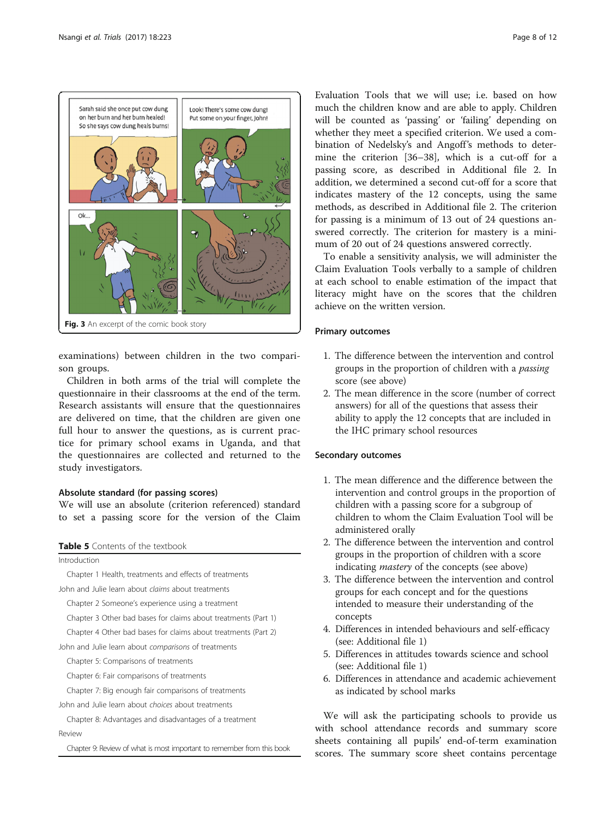<span id="page-7-0"></span>

examinations) between children in the two comparison groups.

Children in both arms of the trial will complete the questionnaire in their classrooms at the end of the term. Research assistants will ensure that the questionnaires are delivered on time, that the children are given one full hour to answer the questions, as is current practice for primary school exams in Uganda, and that the questionnaires are collected and returned to the study investigators.

### Absolute standard (for passing scores)

We will use an absolute (criterion referenced) standard to set a passing score for the version of the Claim

Table 5 Contents of the textbook

**Introduction** 

| <u>inuvuucuvii</u>                                             |
|----------------------------------------------------------------|
| Chapter 1 Health, treatments and effects of treatments         |
| John and Julie learn about <i>claims</i> about treatments      |
| Chapter 2 Someone's experience using a treatment               |
| Chapter 3 Other bad bases for claims about treatments (Part 1) |
| Chapter 4 Other bad bases for claims about treatments (Part 2) |
| John and Julie learn about <i>comparisons</i> of treatments    |
| Chapter 5: Comparisons of treatments                           |
| Chapter 6: Fair comparisons of treatments                      |
| Chapter 7: Big enough fair comparisons of treatments           |
| John and Julie learn about choices about treatments            |
| Chapter 8: Advantages and disadvantages of a treatment         |
| Review                                                         |
|                                                                |

Chapter 9: Review of what is most important to remember from this book

Evaluation Tools that we will use; i.e. based on how much the children know and are able to apply. Children will be counted as 'passing' or 'failing' depending on whether they meet a specified criterion. We used a combination of Nedelsky's and Angoff's methods to determine the criterion [\[36](#page-11-0)–[38\]](#page-11-0), which is a cut-off for a passing score, as described in Additional file [2.](#page-10-0) In addition, we determined a second cut-off for a score that indicates mastery of the 12 concepts, using the same methods, as described in Additional file [2](#page-10-0). The criterion for passing is a minimum of 13 out of 24 questions answered correctly. The criterion for mastery is a minimum of 20 out of 24 questions answered correctly.

To enable a sensitivity analysis, we will administer the Claim Evaluation Tools verbally to a sample of children at each school to enable estimation of the impact that literacy might have on the scores that the children achieve on the written version.

### Primary outcomes

- 1. The difference between the intervention and control groups in the proportion of children with a passing score (see above)
- 2. The mean difference in the score (number of correct answers) for all of the questions that assess their ability to apply the 12 concepts that are included in the IHC primary school resources

#### Secondary outcomes

- 1. The mean difference and the difference between the intervention and control groups in the proportion of children with a passing score for a subgroup of children to whom the Claim Evaluation Tool will be administered orally
- 2. The difference between the intervention and control groups in the proportion of children with a score indicating mastery of the concepts (see above)
- 3. The difference between the intervention and control groups for each concept and for the questions intended to measure their understanding of the concepts
- 4. Differences in intended behaviours and self-efficacy (see: Additional file [1\)](#page-10-0)
- 5. Differences in attitudes towards science and school (see: Additional file [1\)](#page-10-0)
- 6. Differences in attendance and academic achievement as indicated by school marks

We will ask the participating schools to provide us with school attendance records and summary score sheets containing all pupils' end-of-term examination scores. The summary score sheet contains percentage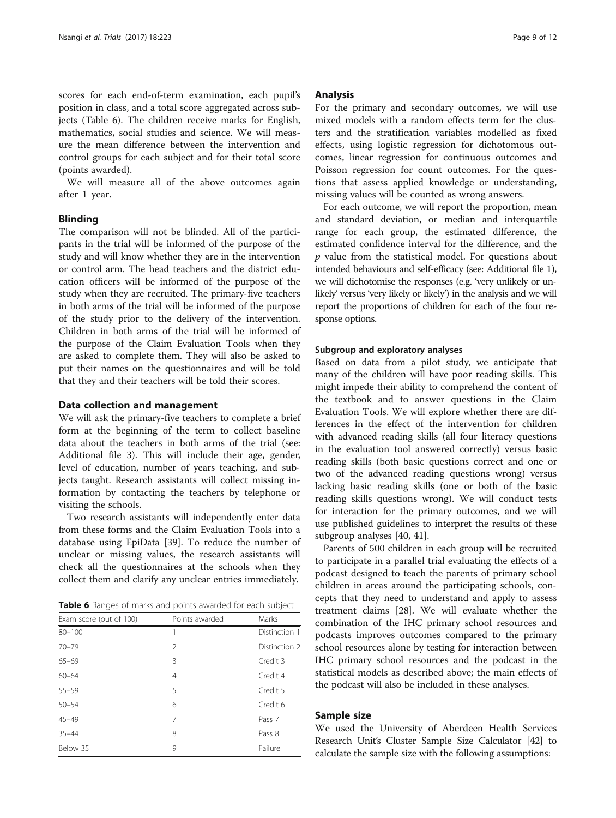scores for each end-of-term examination, each pupil's position in class, and a total score aggregated across subjects (Table 6). The children receive marks for English, mathematics, social studies and science. We will measure the mean difference between the intervention and control groups for each subject and for their total score (points awarded).

We will measure all of the above outcomes again after 1 year.

### Blinding

The comparison will not be blinded. All of the participants in the trial will be informed of the purpose of the study and will know whether they are in the intervention or control arm. The head teachers and the district education officers will be informed of the purpose of the study when they are recruited. The primary-five teachers in both arms of the trial will be informed of the purpose of the study prior to the delivery of the intervention. Children in both arms of the trial will be informed of the purpose of the Claim Evaluation Tools when they are asked to complete them. They will also be asked to put their names on the questionnaires and will be told that they and their teachers will be told their scores.

### Data collection and management

We will ask the primary-five teachers to complete a brief form at the beginning of the term to collect baseline data about the teachers in both arms of the trial (see: Additional file [3\)](#page-10-0). This will include their age, gender, level of education, number of years teaching, and subjects taught. Research assistants will collect missing information by contacting the teachers by telephone or visiting the schools.

Two research assistants will independently enter data from these forms and the Claim Evaluation Tools into a database using EpiData [[39\]](#page-11-0). To reduce the number of unclear or missing values, the research assistants will check all the questionnaires at the schools when they collect them and clarify any unclear entries immediately.

Table 6 Ranges of marks and points awarded for each subject

| Exam score (out of 100) | Points awarded | Marks         |  |  |
|-------------------------|----------------|---------------|--|--|
| $80 - 100$              |                | Distinction 1 |  |  |
| $70 - 79$               | 2              | Distinction 2 |  |  |
| $65 - 69$               | 3              | Credit 3      |  |  |
| $60 - 64$               | 4              | Credit 4      |  |  |
| $55 - 59$               | 5              | Credit 5      |  |  |
| $50 - 54$               | 6              | Credit 6      |  |  |
| $45 - 49$               | 7              | Pass 7        |  |  |
| $35 - 44$               | 8              | Pass 8        |  |  |
| Below 35                | 9              | Failure       |  |  |

## Analysis

For the primary and secondary outcomes, we will use mixed models with a random effects term for the clusters and the stratification variables modelled as fixed effects, using logistic regression for dichotomous outcomes, linear regression for continuous outcomes and Poisson regression for count outcomes. For the questions that assess applied knowledge or understanding, missing values will be counted as wrong answers.

For each outcome, we will report the proportion, mean and standard deviation, or median and interquartile range for each group, the estimated difference, the estimated confidence interval for the difference, and the  $p$  value from the statistical model. For questions about intended behaviours and self-efficacy (see: Additional file [1](#page-10-0)), we will dichotomise the responses (e.g. 'very unlikely or unlikely' versus 'very likely or likely') in the analysis and we will report the proportions of children for each of the four response options.

#### Subgroup and exploratory analyses

Based on data from a pilot study, we anticipate that many of the children will have poor reading skills. This might impede their ability to comprehend the content of the textbook and to answer questions in the Claim Evaluation Tools. We will explore whether there are differences in the effect of the intervention for children with advanced reading skills (all four literacy questions in the evaluation tool answered correctly) versus basic reading skills (both basic questions correct and one or two of the advanced reading questions wrong) versus lacking basic reading skills (one or both of the basic reading skills questions wrong). We will conduct tests for interaction for the primary outcomes, and we will use published guidelines to interpret the results of these subgroup analyses [\[40, 41\]](#page-11-0).

Parents of 500 children in each group will be recruited to participate in a parallel trial evaluating the effects of a podcast designed to teach the parents of primary school children in areas around the participating schools, concepts that they need to understand and apply to assess treatment claims [[28](#page-11-0)]. We will evaluate whether the combination of the IHC primary school resources and podcasts improves outcomes compared to the primary school resources alone by testing for interaction between IHC primary school resources and the podcast in the statistical models as described above; the main effects of the podcast will also be included in these analyses.

### Sample size

We used the University of Aberdeen Health Services Research Unit's Cluster Sample Size Calculator [[42](#page-11-0)] to calculate the sample size with the following assumptions: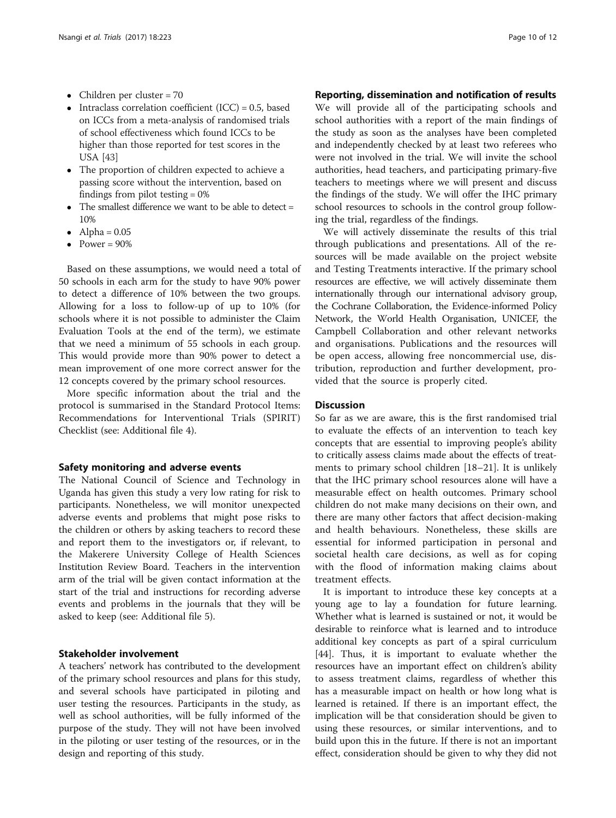- Children per cluster = 70
- $\bullet$  Intraclass correlation coefficient (ICC) = 0.5, based on ICCs from a meta-analysis of randomised trials of school effectiveness which found ICCs to be higher than those reported for test scores in the USA [[43](#page-11-0)]
- The proportion of children expected to achieve a passing score without the intervention, based on findings from pilot testing  $= 0\%$
- The smallest difference we want to be able to detect = 10%
- $\bullet$  Alpha = 0.05
- $\bullet$  Power = 90%

Based on these assumptions, we would need a total of 50 schools in each arm for the study to have 90% power to detect a difference of 10% between the two groups. Allowing for a loss to follow-up of up to 10% (for schools where it is not possible to administer the Claim Evaluation Tools at the end of the term), we estimate that we need a minimum of 55 schools in each group. This would provide more than 90% power to detect a mean improvement of one more correct answer for the 12 concepts covered by the primary school resources.

More specific information about the trial and the protocol is summarised in the Standard Protocol Items: Recommendations for Interventional Trials (SPIRIT) Checklist (see: Additional file [4\)](#page-10-0).

### Safety monitoring and adverse events

The National Council of Science and Technology in Uganda has given this study a very low rating for risk to participants. Nonetheless, we will monitor unexpected adverse events and problems that might pose risks to the children or others by asking teachers to record these and report them to the investigators or, if relevant, to the Makerere University College of Health Sciences Institution Review Board. Teachers in the intervention arm of the trial will be given contact information at the start of the trial and instructions for recording adverse events and problems in the journals that they will be asked to keep (see: Additional file [5\)](#page-10-0).

### Stakeholder involvement

A teachers' network has contributed to the development of the primary school resources and plans for this study, and several schools have participated in piloting and user testing the resources. Participants in the study, as well as school authorities, will be fully informed of the purpose of the study. They will not have been involved in the piloting or user testing of the resources, or in the design and reporting of this study.

# Reporting, dissemination and notification of results

We will provide all of the participating schools and school authorities with a report of the main findings of the study as soon as the analyses have been completed and independently checked by at least two referees who were not involved in the trial. We will invite the school authorities, head teachers, and participating primary-five teachers to meetings where we will present and discuss the findings of the study. We will offer the IHC primary school resources to schools in the control group following the trial, regardless of the findings.

We will actively disseminate the results of this trial through publications and presentations. All of the resources will be made available on the project website and Testing Treatments interactive. If the primary school resources are effective, we will actively disseminate them internationally through our international advisory group, the Cochrane Collaboration, the Evidence-informed Policy Network, the World Health Organisation, UNICEF, the Campbell Collaboration and other relevant networks and organisations. Publications and the resources will be open access, allowing free noncommercial use, distribution, reproduction and further development, provided that the source is properly cited.

# **Discussion**

So far as we are aware, this is the first randomised trial to evaluate the effects of an intervention to teach key concepts that are essential to improving people's ability to critically assess claims made about the effects of treatments to primary school children [[18](#page-11-0)–[21](#page-11-0)]. It is unlikely that the IHC primary school resources alone will have a measurable effect on health outcomes. Primary school children do not make many decisions on their own, and there are many other factors that affect decision-making and health behaviours. Nonetheless, these skills are essential for informed participation in personal and societal health care decisions, as well as for coping with the flood of information making claims about treatment effects.

It is important to introduce these key concepts at a young age to lay a foundation for future learning. Whether what is learned is sustained or not, it would be desirable to reinforce what is learned and to introduce additional key concepts as part of a spiral curriculum [[44\]](#page-11-0). Thus, it is important to evaluate whether the resources have an important effect on children's ability to assess treatment claims, regardless of whether this has a measurable impact on health or how long what is learned is retained. If there is an important effect, the implication will be that consideration should be given to using these resources, or similar interventions, and to build upon this in the future. If there is not an important effect, consideration should be given to why they did not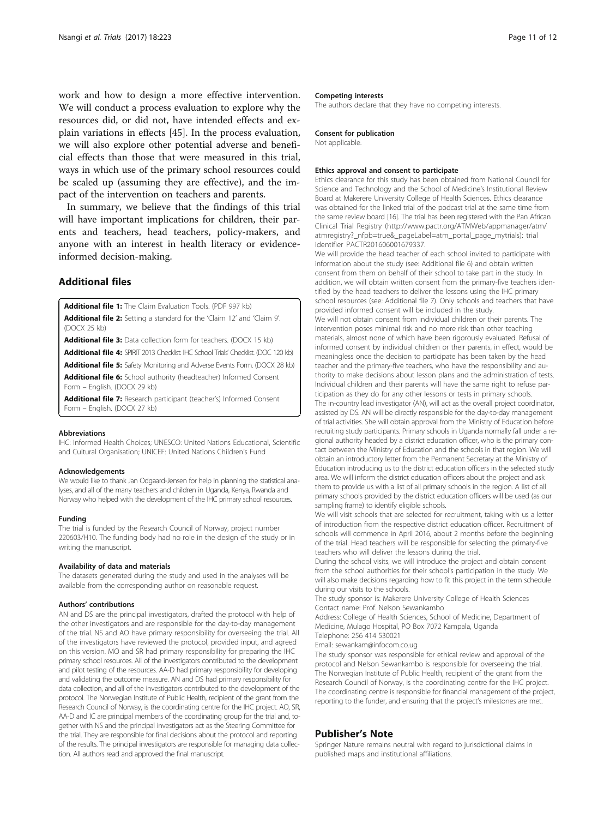<span id="page-10-0"></span>work and how to design a more effective intervention. We will conduct a process evaluation to explore why the resources did, or did not, have intended effects and explain variations in effects [[45](#page-11-0)]. In the process evaluation, we will also explore other potential adverse and beneficial effects than those that were measured in this trial, ways in which use of the primary school resources could be scaled up (assuming they are effective), and the impact of the intervention on teachers and parents.

In summary, we believe that the findings of this trial will have important implications for children, their parents and teachers, head teachers, policy-makers, and anyone with an interest in health literacy or evidenceinformed decision-making.

# Additional files

[Additional file 1:](dx.doi.org/10.1186/s13063-017-1958-8) The Claim Evaluation Tools. (PDF 997 kb)

[Additional file 2:](dx.doi.org/10.1186/s13063-017-1958-8) Setting a standard for the 'Claim 12' and 'Claim 9'. (DOCX 25 kb)

[Additional file 3:](dx.doi.org/10.1186/s13063-017-1958-8) Data collection form for teachers. (DOCX 15 kb)

[Additional file 4:](dx.doi.org/10.1186/s13063-017-1958-8) SPIRIT 2013 Checklist: IHC School Trials' Checklist. (DOC 120 kb)

[Additional file 5:](dx.doi.org/10.1186/s13063-017-1958-8) Safety Monitoring and Adverse Events Form. (DOCX 28 kb)

[Additional file 6:](dx.doi.org/10.1186/s13063-017-1958-8) School authority (headteacher) Informed Consent Form – English. (DOCX 29 kb)

[Additional file 7:](dx.doi.org/10.1186/s13063-017-1958-8) Research participant (teacher's) Informed Consent Form – English. (DOCX 27 kb)

#### Abbreviations

IHC: Informed Health Choices; UNESCO: United Nations Educational, Scientific and Cultural Organisation; UNICEF: United Nations Children's Fund

#### Acknowledgements

We would like to thank Jan Odgaard-Jensen for help in planning the statistical analyses, and all of the many teachers and children in Uganda, Kenya, Rwanda and Norway who helped with the development of the IHC primary school resources.

#### Funding

The trial is funded by the Research Council of Norway, project number 220603/H10. The funding body had no role in the design of the study or in writing the manuscript.

#### Availability of data and materials

The datasets generated during the study and used in the analyses will be available from the corresponding author on reasonable request.

#### Authors' contributions

AN and DS are the principal investigators, drafted the protocol with help of the other investigators and are responsible for the day-to-day management of the trial. NS and AO have primary responsibility for overseeing the trial. All of the investigators have reviewed the protocol, provided input, and agreed on this version. MO and SR had primary responsibility for preparing the IHC primary school resources. All of the investigators contributed to the development and pilot testing of the resources. AA-D had primary responsibility for developing and validating the outcome measure. AN and DS had primary responsibility for data collection, and all of the investigators contributed to the development of the protocol. The Norwegian Institute of Public Health, recipient of the grant from the Research Council of Norway, is the coordinating centre for the IHC project. AO, SR, AA-D and IC are principal members of the coordinating group for the trial and, together with NS and the principal investigators act as the Steering Committee for the trial. They are responsible for final decisions about the protocol and reporting of the results. The principal investigators are responsible for managing data collection. All authors read and approved the final manuscript.

#### Competing interests

The authors declare that they have no competing interests.

#### Consent for publication

Not applicable.

#### Ethics approval and consent to participate

Ethics clearance for this study has been obtained from National Council for Science and Technology and the School of Medicine's Institutional Review Board at Makerere University College of Health Sciences. Ethics clearance was obtained for the linked trial of the podcast trial at the same time from the same review board [\[16](#page-11-0)]. The trial has been registered with the Pan African Clinical Trial Registry [\(http://www.pactr.org/ATMWeb/appmanager/atm/](http://www.pactr.org/ATMWeb/appmanager/atm/atmregistry?_nfpb=true&_pageLabel=atm_portal_page_mytrials) [atmregistry?\\_nfpb=true&\\_pageLabel=atm\\_portal\\_page\\_mytrials\)](http://www.pactr.org/ATMWeb/appmanager/atm/atmregistry?_nfpb=true&_pageLabel=atm_portal_page_mytrials): trial identifier PACTR201606001679337.

We will provide the head teacher of each school invited to participate with information about the study (see: Additional file 6) and obtain written consent from them on behalf of their school to take part in the study. In addition, we will obtain written consent from the primary-five teachers identified by the head teachers to deliver the lessons using the IHC primary school resources (see: Additional file 7). Only schools and teachers that have provided informed consent will be included in the study. We will not obtain consent from individual children or their parents. The intervention poses minimal risk and no more risk than other teaching materials, almost none of which have been rigorously evaluated. Refusal of informed consent by individual children or their parents, in effect, would be meaningless once the decision to participate has been taken by the head teacher and the primary-five teachers, who have the responsibility and authority to make decisions about lesson plans and the administration of tests. Individual children and their parents will have the same right to refuse participation as they do for any other lessons or tests in primary schools. The in-country lead investigator (AN), will act as the overall project coordinator, assisted by DS. AN will be directly responsible for the day-to-day management of trial activities. She will obtain approval from the Ministry of Education before recruiting study participants. Primary schools in Uganda normally fall under a regional authority headed by a district education officer, who is the primary contact between the Ministry of Education and the schools in that region. We will obtain an introductory letter from the Permanent Secretary at the Ministry of Education introducing us to the district education officers in the selected study area. We will inform the district education officers about the project and ask them to provide us with a list of all primary schools in the region. A list of all primary schools provided by the district education officers will be used (as our sampling frame) to identify eligible schools.

We will visit schools that are selected for recruitment, taking with us a letter of introduction from the respective district education officer. Recruitment of schools will commence in April 2016, about 2 months before the beginning of the trial. Head teachers will be responsible for selecting the primary-five teachers who will deliver the lessons during the trial.

During the school visits, we will introduce the project and obtain consent from the school authorities for their school's participation in the study. We will also make decisions regarding how to fit this project in the term schedule during our visits to the schools.

The study sponsor is: Makerere University College of Health Sciences Contact name: Prof. Nelson Sewankambo

Address: College of Health Sciences, School of Medicine, Department of Medicine, Mulago Hospital, PO Box 7072 Kampala, Uganda Telephone: 256 414 530021

Email: sewankam@infocom.co.ug

The study sponsor was responsible for ethical review and approval of the protocol and Nelson Sewankambo is responsible for overseeing the trial. The Norwegian Institute of Public Health, recipient of the grant from the Research Council of Norway, is the coordinating centre for the IHC project. The coordinating centre is responsible for financial management of the project, reporting to the funder, and ensuring that the project's milestones are met.

#### Publisher's Note

Springer Nature remains neutral with regard to jurisdictional claims in published maps and institutional affiliations.